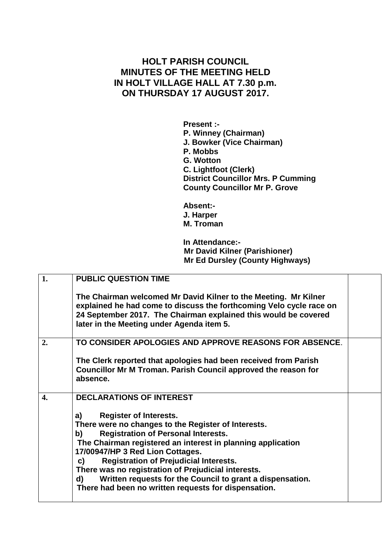## **HOLT PARISH COUNCIL MINUTES OF THE MEETING HELD IN HOLT VILLAGE HALL AT 7.30 p.m. ON THURSDAY 17 AUGUST 2017.**

**Present :- P. Winney (Chairman) J. Bowker (Vice Chairman) P. Mobbs G. Wotton C. Lightfoot (Clerk) District Councillor Mrs. P Cumming County Councillor Mr P. Grove**

**Absent:- J. Harper M. Troman**

**In Attendance:- Mr David Kilner (Parishioner) Mr Ed Dursley (County Highways)**

| 1. | <b>PUBLIC QUESTION TIME</b>                                                                                                                                                                                                                                                                                                                                                                                                                                                                |  |
|----|--------------------------------------------------------------------------------------------------------------------------------------------------------------------------------------------------------------------------------------------------------------------------------------------------------------------------------------------------------------------------------------------------------------------------------------------------------------------------------------------|--|
|    | The Chairman welcomed Mr David Kilner to the Meeting. Mr Kilner<br>explained he had come to discuss the forthcoming Velo cycle race on<br>24 September 2017. The Chairman explained this would be covered<br>later in the Meeting under Agenda item 5.                                                                                                                                                                                                                                     |  |
| 2. | TO CONSIDER APOLOGIES AND APPROVE REASONS FOR ABSENCE.                                                                                                                                                                                                                                                                                                                                                                                                                                     |  |
|    | The Clerk reported that apologies had been received from Parish<br>Councillor Mr M Troman. Parish Council approved the reason for<br>absence.                                                                                                                                                                                                                                                                                                                                              |  |
| 4. | <b>DECLARATIONS OF INTEREST</b>                                                                                                                                                                                                                                                                                                                                                                                                                                                            |  |
|    | <b>Register of Interests.</b><br>a)<br>There were no changes to the Register of Interests.<br><b>Registration of Personal Interests.</b><br>b)<br>The Chairman registered an interest in planning application<br>17/00947/HP 3 Red Lion Cottages.<br><b>Registration of Prejudicial Interests.</b><br>C)<br>There was no registration of Prejudicial interests.<br>Written requests for the Council to grant a dispensation.<br>d)<br>There had been no written requests for dispensation. |  |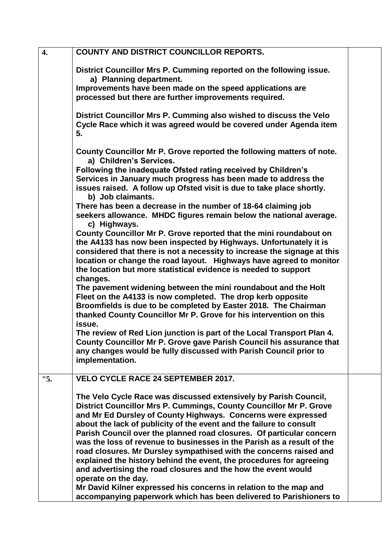| $\overline{4}$ . | <b>COUNTY AND DISTRICT COUNCILLOR REPORTS.</b>                                                                                                               |  |
|------------------|--------------------------------------------------------------------------------------------------------------------------------------------------------------|--|
|                  | District Councillor Mrs P. Cumming reported on the following issue.<br>a) Planning department.                                                               |  |
|                  | Improvements have been made on the speed applications are<br>processed but there are further improvements required.                                          |  |
|                  | District Councillor Mrs P. Cumming also wished to discuss the Velo<br>Cycle Race which it was agreed would be covered under Agenda item<br>5.                |  |
|                  | County Councillor Mr P. Grove reported the following matters of note.<br>a) Children's Services.                                                             |  |
|                  | Following the inadequate Ofsted rating received by Children's                                                                                                |  |
|                  | Services in January much progress has been made to address the<br>issues raised. A follow up Ofsted visit is due to take place shortly.<br>b) Job claimants. |  |
|                  | There has been a decrease in the number of 18-64 claiming job<br>seekers allowance. MHDC figures remain below the national average.<br>c) Highways.          |  |
|                  | County Councillor Mr P. Grove reported that the mini roundabout on                                                                                           |  |
|                  | the A4133 has now been inspected by Highways. Unfortunately it is                                                                                            |  |
|                  | considered that there is not a necessity to increase the signage at this<br>location or change the road layout. Highways have agreed to monitor              |  |
|                  | the location but more statistical evidence is needed to support                                                                                              |  |
|                  | changes.                                                                                                                                                     |  |
|                  | The pavement widening between the mini roundabout and the Holt<br>Fleet on the A4133 is now completed. The drop kerb opposite                                |  |
|                  | Broomfields is due to be completed by Easter 2018. The Chairman                                                                                              |  |
|                  | thanked County Councillor Mr P. Grove for his intervention on this                                                                                           |  |
|                  | issue.<br>The review of Red Lion junction is part of the Local Transport Plan 4.                                                                             |  |
|                  | County Councillor Mr P. Grove gave Parish Council his assurance that                                                                                         |  |
|                  | any changes would be fully discussed with Parish Council prior to                                                                                            |  |
|                  | implementation.                                                                                                                                              |  |
| "5.              | <b>VELO CYCLE RACE 24 SEPTEMBER 2017.</b>                                                                                                                    |  |
|                  | The Velo Cycle Race was discussed extensively by Parish Council,                                                                                             |  |
|                  | District Councillor Mrs P. Cummings, County Councillor Mr P. Grove                                                                                           |  |
|                  | and Mr Ed Dursley of County Highways. Concerns were expressed<br>about the lack of publicity of the event and the failure to consult                         |  |
|                  | Parish Council over the planned road closures. Of particular concern                                                                                         |  |
|                  | was the loss of revenue to businesses in the Parish as a result of the                                                                                       |  |
|                  | road closures. Mr Dursley sympathised with the concerns raised and                                                                                           |  |
|                  | explained the history behind the event, the procedures for agreeing<br>and advertising the road closures and the how the event would                         |  |
|                  | operate on the day.                                                                                                                                          |  |
|                  | Mr David Kilner expressed his concerns in relation to the map and                                                                                            |  |
|                  | accompanying paperwork which has been delivered to Parishioners to                                                                                           |  |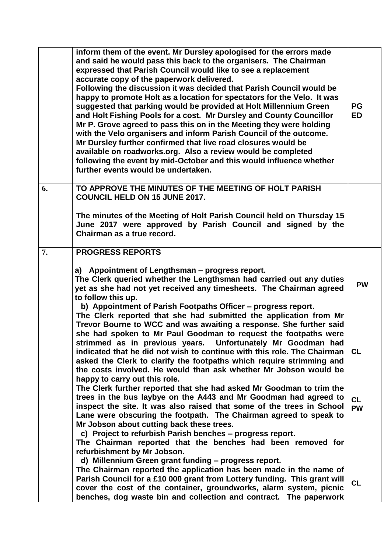|    | inform them of the event. Mr Dursley apologised for the errors made<br>and said he would pass this back to the organisers. The Chairman<br>expressed that Parish Council would like to see a replacement<br>accurate copy of the paperwork delivered.<br>Following the discussion it was decided that Parish Council would be<br>happy to promote Holt as a location for spectators for the Velo. It was<br>suggested that parking would be provided at Holt Millennium Green<br>and Holt Fishing Pools for a cost. Mr Dursley and County Councillor<br>Mr P. Grove agreed to pass this on in the Meeting they were holding<br>with the Velo organisers and inform Parish Council of the outcome.<br>Mr Dursley further confirmed that live road closures would be<br>available on roadworks.org. Also a review would be completed<br>following the event by mid-October and this would influence whether<br>further events would be undertaken. | <b>PG</b><br><b>ED</b> |
|----|--------------------------------------------------------------------------------------------------------------------------------------------------------------------------------------------------------------------------------------------------------------------------------------------------------------------------------------------------------------------------------------------------------------------------------------------------------------------------------------------------------------------------------------------------------------------------------------------------------------------------------------------------------------------------------------------------------------------------------------------------------------------------------------------------------------------------------------------------------------------------------------------------------------------------------------------------|------------------------|
| 6. | TO APPROVE THE MINUTES OF THE MEETING OF HOLT PARISH<br><b>COUNCIL HELD ON 15 JUNE 2017.</b>                                                                                                                                                                                                                                                                                                                                                                                                                                                                                                                                                                                                                                                                                                                                                                                                                                                     |                        |
|    | The minutes of the Meeting of Holt Parish Council held on Thursday 15<br>June 2017 were approved by Parish Council and signed by the<br>Chairman as a true record.                                                                                                                                                                                                                                                                                                                                                                                                                                                                                                                                                                                                                                                                                                                                                                               |                        |
| 7. | <b>PROGRESS REPORTS</b>                                                                                                                                                                                                                                                                                                                                                                                                                                                                                                                                                                                                                                                                                                                                                                                                                                                                                                                          |                        |
|    | a) Appointment of Lengthsman - progress report.<br>The Clerk queried whether the Lengthsman had carried out any duties<br>yet as she had not yet received any timesheets. The Chairman agreed<br>to follow this up.<br>b) Appointment of Parish Footpaths Officer - progress report.<br>The Clerk reported that she had submitted the application from Mr                                                                                                                                                                                                                                                                                                                                                                                                                                                                                                                                                                                        | <b>PW</b>              |
|    | Trevor Bourne to WCC and was awaiting a response. She further said<br>she had spoken to Mr Paul Goodman to request the footpaths were<br>strimmed as in previous years. Unfortunately Mr Goodman had<br>indicated that he did not wish to continue with this role. The Chairman                                                                                                                                                                                                                                                                                                                                                                                                                                                                                                                                                                                                                                                                  | <b>CL</b>              |
|    | asked the Clerk to clarify the footpaths which require strimming and<br>the costs involved. He would than ask whether Mr Jobson would be<br>happy to carry out this role.<br>The Clerk further reported that she had asked Mr Goodman to trim the                                                                                                                                                                                                                                                                                                                                                                                                                                                                                                                                                                                                                                                                                                |                        |
|    | trees in the bus laybye on the A443 and Mr Goodman had agreed to<br>inspect the site. It was also raised that some of the trees in School<br>Lane were obscuring the footpath. The Chairman agreed to speak to<br>Mr Jobson about cutting back these trees.                                                                                                                                                                                                                                                                                                                                                                                                                                                                                                                                                                                                                                                                                      | <b>CL</b><br><b>PW</b> |
|    | c) Project to refurbish Parish benches - progress report.<br>The Chairman reported that the benches had been removed for<br>refurbishment by Mr Jobson.                                                                                                                                                                                                                                                                                                                                                                                                                                                                                                                                                                                                                                                                                                                                                                                          |                        |
|    | d) Millennium Green grant funding - progress report.<br>The Chairman reported the application has been made in the name of<br>Parish Council for a £10 000 grant from Lottery funding. This grant will<br>cover the cost of the container, groundworks, alarm system, picnic<br>benches, dog waste bin and collection and contract. The paperwork                                                                                                                                                                                                                                                                                                                                                                                                                                                                                                                                                                                                | <b>CL</b>              |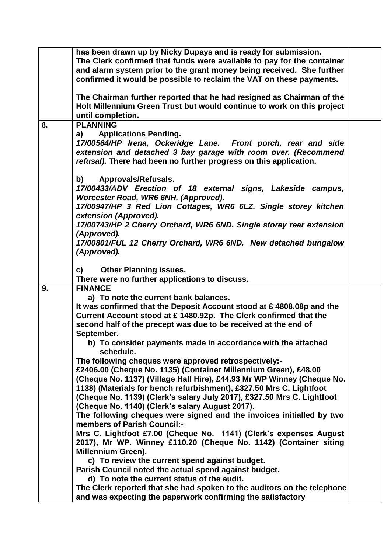|    | has been drawn up by Nicky Dupays and is ready for submission.<br>The Clerk confirmed that funds were available to pay for the container<br>and alarm system prior to the grant money being received. She further<br>confirmed it would be possible to reclaim the VAT on these payments. |  |
|----|-------------------------------------------------------------------------------------------------------------------------------------------------------------------------------------------------------------------------------------------------------------------------------------------|--|
|    | The Chairman further reported that he had resigned as Chairman of the<br>Holt Millennium Green Trust but would continue to work on this project<br>until completion.                                                                                                                      |  |
| 8. | <b>PLANNING</b>                                                                                                                                                                                                                                                                           |  |
|    | <b>Applications Pending.</b><br>a)<br>17/00564/HP Irena, Ockeridge Lane. Front porch, rear and side<br>extension and detached 3 bay garage with room over. (Recommend<br>refusal). There had been no further progress on this application.                                                |  |
|    | <b>Approvals/Refusals.</b><br>b) l<br>17/00433/ADV Erection of 18 external signs, Lakeside campus,<br>Worcester Road, WR6 6NH. (Approved).<br>17/00947/HP 3 Red Lion Cottages, WR6 6LZ. Single storey kitchen                                                                             |  |
|    | extension (Approved).<br>17/00743/HP 2 Cherry Orchard, WR6 6ND. Single storey rear extension<br>(Approved).                                                                                                                                                                               |  |
|    | 17/00801/FUL 12 Cherry Orchard, WR6 6ND. New detached bungalow<br>(Approved).                                                                                                                                                                                                             |  |
|    | <b>Other Planning issues.</b><br>C)<br>There were no further applications to discuss.                                                                                                                                                                                                     |  |
| 9. | <b>FINANCE</b>                                                                                                                                                                                                                                                                            |  |
|    | a) To note the current bank balances.                                                                                                                                                                                                                                                     |  |
|    | It was confirmed that the Deposit Account stood at $\epsilon$ 4808.08p and the                                                                                                                                                                                                            |  |
|    | Current Account stood at £ 1480.92p. The Clerk confirmed that the                                                                                                                                                                                                                         |  |
|    | second half of the precept was due to be received at the end of                                                                                                                                                                                                                           |  |
|    | September.                                                                                                                                                                                                                                                                                |  |
|    | b) To consider payments made in accordance with the attached<br>schedule.                                                                                                                                                                                                                 |  |
|    | The following cheques were approved retrospectively:-                                                                                                                                                                                                                                     |  |
|    | £2406.00 (Cheque No. 1135) (Container Millennium Green), £48.00                                                                                                                                                                                                                           |  |
|    | (Cheque No. 1137) (Village Hall Hire), £44.93 Mr WP Winney (Cheque No.                                                                                                                                                                                                                    |  |
|    | 1138) (Materials for bench refurbishment), £327.50 Mrs C. Lightfoot<br>(Cheque No. 1139) (Clerk's salary July 2017), £327.50 Mrs C. Lightfoot                                                                                                                                             |  |
|    | (Cheque No. 1140) (Clerk's salary August 2017).                                                                                                                                                                                                                                           |  |
|    |                                                                                                                                                                                                                                                                                           |  |
|    |                                                                                                                                                                                                                                                                                           |  |
|    | The following cheques were signed and the invoices initialled by two<br>members of Parish Council:-                                                                                                                                                                                       |  |
|    | Mrs C. Lightfoot £7.00 (Cheque No. 1141) (Clerk's expenses August                                                                                                                                                                                                                         |  |
|    | 2017), Mr WP. Winney £110.20 (Cheque No. 1142) (Container siting                                                                                                                                                                                                                          |  |
|    | <b>Millennium Green).</b>                                                                                                                                                                                                                                                                 |  |
|    | c) To review the current spend against budget.                                                                                                                                                                                                                                            |  |
|    | Parish Council noted the actual spend against budget.                                                                                                                                                                                                                                     |  |
|    | d) To note the current status of the audit.                                                                                                                                                                                                                                               |  |
|    | The Clerk reported that she had spoken to the auditors on the telephone<br>and was expecting the paperwork confirming the satisfactory                                                                                                                                                    |  |